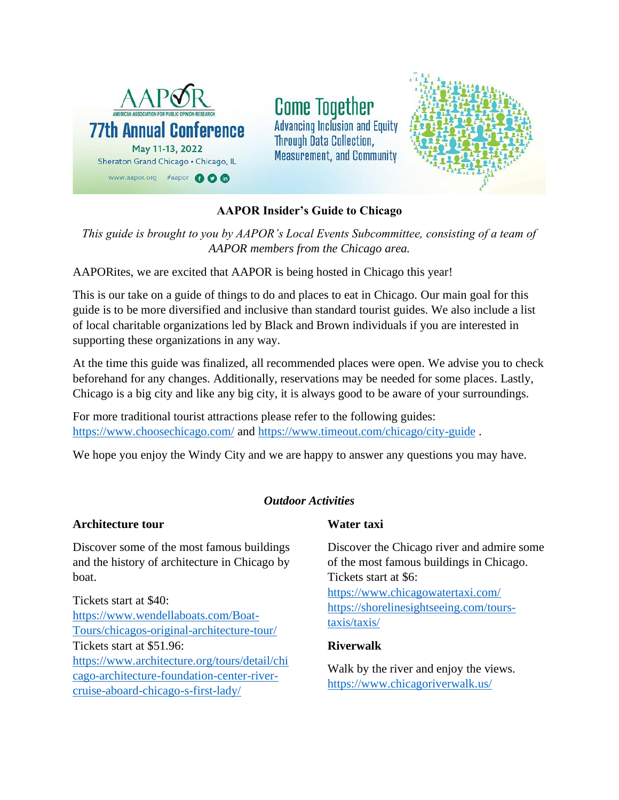

**Come Together Advancing Inclusion and Equity Through Data Collection, Measurement, and Community** 



# **AAPOR Insider's Guide to Chicago**

*This guide is brought to you by AAPOR's Local Events Subcommittee, consisting of a team of AAPOR members from the Chicago area.*

AAPORites, we are excited that AAPOR is being hosted in Chicago this year!

This is our take on a guide of things to do and places to eat in Chicago. Our main goal for this guide is to be more diversified and inclusive than standard tourist guides. We also include a list of local charitable organizations led by Black and Brown individuals if you are interested in supporting these organizations in any way.

At the time this guide was finalized, all recommended places were open. We advise you to check beforehand for any changes. Additionally, reservations may be needed for some places. Lastly, Chicago is a big city and like any big city, it is always good to be aware of your surroundings.

For more traditional tourist attractions please refer to the following guides: <https://www.choosechicago.com/> and<https://www.timeout.com/chicago/city-guide> .

We hope you enjoy the Windy City and we are happy to answer any questions you may have.

# *Outdoor Activities*

## **Architecture tour**

Discover some of the most famous buildings and the history of architecture in Chicago by boat.

Tickets start at \$40: [https://www.wendellaboats.com/Boat-](https://www.wendellaboats.com/Boat-Tours/chicagos-original-architecture-tour/)[Tours/chicagos-original-architecture-tour/](https://www.wendellaboats.com/Boat-Tours/chicagos-original-architecture-tour/) Tickets start at \$51.96: [https://www.architecture.org/tours/detail/chi](https://www.architecture.org/tours/detail/chicago-architecture-foundation-center-river-cruise-aboard-chicago-s-first-lady/) [cago-architecture-foundation-center-river](https://www.architecture.org/tours/detail/chicago-architecture-foundation-center-river-cruise-aboard-chicago-s-first-lady/)[cruise-aboard-chicago-s-first-lady/](https://www.architecture.org/tours/detail/chicago-architecture-foundation-center-river-cruise-aboard-chicago-s-first-lady/)

# **Water taxi**

Discover the Chicago river and admire some of the most famous buildings in Chicago. Tickets start at \$6: <https://www.chicagowatertaxi.com/> [https://shorelinesightseeing.com/tours](https://shorelinesightseeing.com/tours-taxis/taxis/)[taxis/taxis/](https://shorelinesightseeing.com/tours-taxis/taxis/)

## **Riverwalk**

Walk by the river and enjoy the views. <https://www.chicagoriverwalk.us/>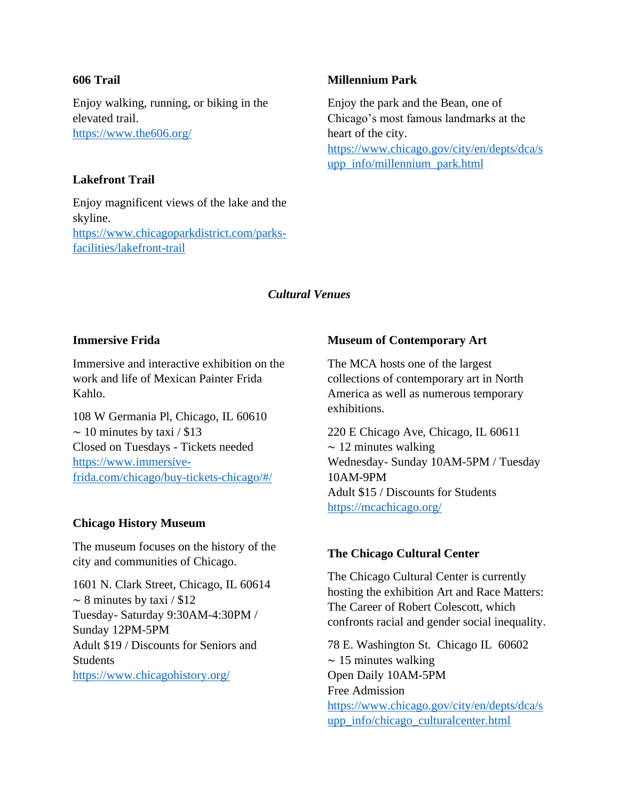### **606 Trail**

Enjoy walking, running, or biking in the elevated trail. <https://www.the606.org/>

## **Lakefront Trail**

Enjoy magnificent views of the lake and the skyline. [https://www.chicagoparkdistrict.com/parks](https://www.chicagoparkdistrict.com/parks-facilities/lakefront-trail)[facilities/lakefront-trail](https://www.chicagoparkdistrict.com/parks-facilities/lakefront-trail)

## **Millennium Park**

Enjoy the park and the Bean, one of Chicago's most famous landmarks at the heart of the city. [https://www.chicago.gov/city/en/depts/dca/s](https://www.chicago.gov/city/en/depts/dca/supp_info/millennium_park.html) [upp\\_info/millennium\\_park.html](https://www.chicago.gov/city/en/depts/dca/supp_info/millennium_park.html)

## *Cultural Venues*

## **Immersive Frida**

Immersive and interactive exhibition on the work and life of Mexican Painter Frida Kahlo.

108 W Germania Pl, Chicago, IL 60610  $\sim$  10 minutes by taxi / \$13 Closed on Tuesdays - Tickets needed [https://www.immersive](https://www.immersive-frida.com/chicago/buy-tickets-chicago/#/)[frida.com/chicago/buy-tickets-chicago/#/](https://www.immersive-frida.com/chicago/buy-tickets-chicago/#/)

## **Chicago History Museum**

The museum focuses on the history of the city and communities of Chicago.

1601 N. Clark Street, Chicago, IL 60614  $\sim$  8 minutes by taxi / \$12 Tuesday- Saturday 9:30AM-4:30PM / Sunday 12PM-5PM Adult \$19 / Discounts for Seniors and Students <https://www.chicagohistory.org/>

## **Museum of Contemporary Art**

The MCA hosts one of the largest collections of contemporary art in North America as well as numerous temporary exhibitions.

220 E Chicago Ave, Chicago, IL 60611  $\sim$  12 minutes walking Wednesday- Sunday 10AM-5PM / Tuesday 10AM-9PM Adult \$15 / Discounts for Students <https://mcachicago.org/>

## **The Chicago Cultural Center**

The Chicago Cultural Center is currently hosting the exhibition Art and Race Matters: The Career of Robert Colescott, which confronts racial and gender social inequality.

78 E. Washington St. Chicago IL 60602 ∼ 15 minutes walking Open Daily 10AM-5PM Free Admission [https://www.chicago.gov/city/en/depts/dca/s](https://www.chicago.gov/city/en/depts/dca/supp_info/chicago_culturalcenter.html) [upp\\_info/chicago\\_culturalcenter.html](https://www.chicago.gov/city/en/depts/dca/supp_info/chicago_culturalcenter.html)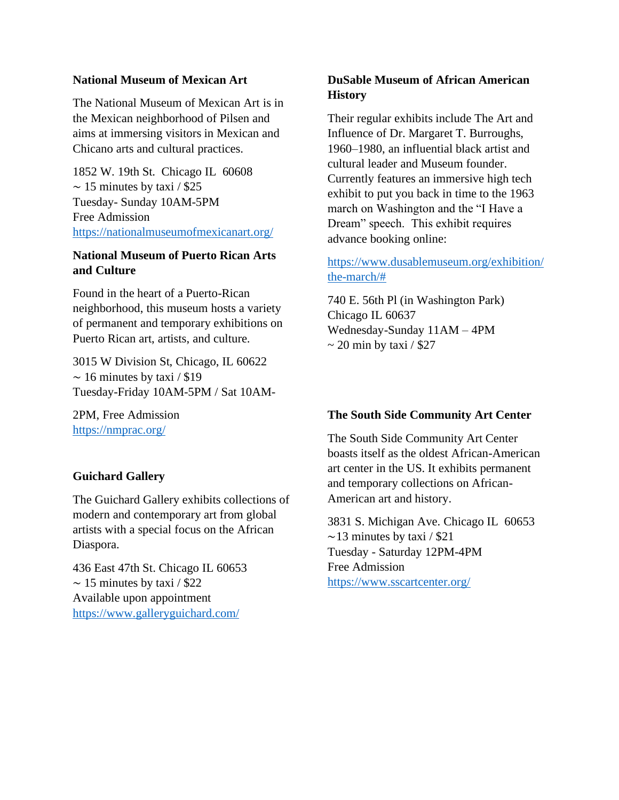## **National Museum of Mexican Art**

The National Museum of Mexican Art is in the Mexican neighborhood of Pilsen and aims at immersing visitors in Mexican and Chicano arts and cultural practices.

1852 W. 19th St. Chicago IL 60608  $\sim$  15 minutes by taxi / \$25 Tuesday- Sunday 10AM-5PM Free Admission <https://nationalmuseumofmexicanart.org/>

## **National Museum of Puerto Rican Arts and Culture**

Found in the heart of a Puerto-Rican neighborhood, this museum hosts a variety of permanent and temporary exhibitions on Puerto Rican art, artists, and culture.

3015 W Division St, Chicago, IL 60622  $\sim$  16 minutes by taxi / \$19 Tuesday-Friday 10AM-5PM / Sat 10AM-

2PM, Free Admission <https://nmprac.org/>

# **Guichard Gallery**

The Guichard Gallery exhibits collections of modern and contemporary art from global artists with a special focus on the African Diaspora.

436 East 47th St. Chicago IL 60653  $\sim$  15 minutes by taxi / \$22 Available upon appointment <https://www.galleryguichard.com/>

# **DuSable Museum of African American History**

Their regular exhibits include The Art and Influence of Dr. Margaret T. Burroughs, 1960–1980, an influential black artist and cultural leader and Museum founder. Currently features an immersive high tech exhibit to put you back in time to the 1963 march on Washington and the "I Have a Dream" speech. This exhibit requires advance booking online:

# [https://www.dusablemuseum.org/exhibition/](https://www.dusablemuseum.org/exhibition/the-march/%23) [the-march/#](https://www.dusablemuseum.org/exhibition/the-march/%23)

740 E. 56th Pl (in Washington Park) Chicago IL 60637 Wednesday-Sunday 11AM – 4PM  $\sim$  20 min by taxi / \$27

# **The South Side Community Art Center**

The South Side Community Art Center boasts itself as the oldest African-American art center in the US. It exhibits permanent and temporary collections on African-American art and history.

3831 S. Michigan Ave. Chicago IL 60653  $\sim$ 13 minutes by taxi / \$21 Tuesday - Saturday 12PM-4PM Free Admission <https://www.sscartcenter.org/>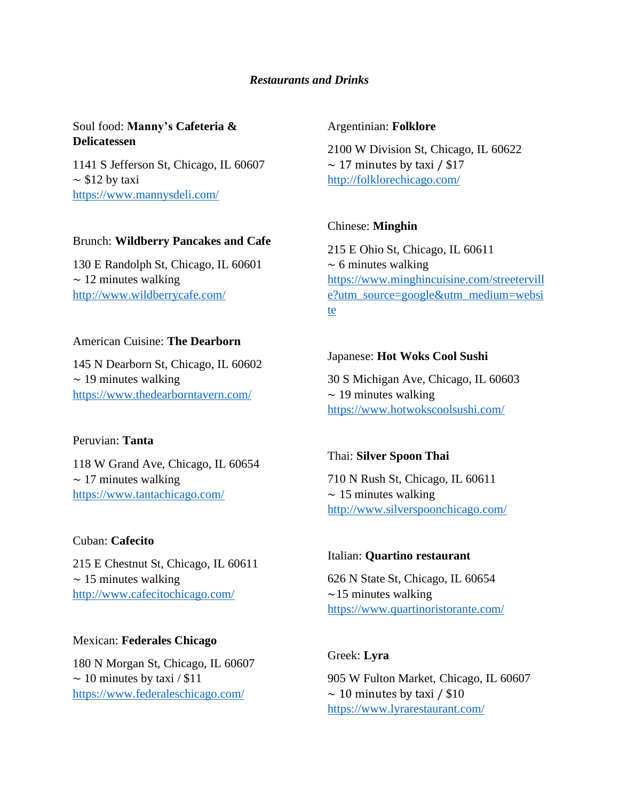## *Restaurants and Drinks*

# Soul food: **Manny's Cafeteria & Delicatessen**

1141 S Jefferson St, Chicago, IL 60607  $\sim$  \$12 by taxi <https://www.mannysdeli.com/>

## Brunch: **Wildberry Pancakes and Cafe**

130 E Randolph St, Chicago, IL 60601 ∼ 12 minutes walking <http://www.wildberrycafe.com/>

## American Cuisine: **The Dearborn**

145 N Dearborn St, Chicago, IL 60602 ∼ 19 minutes walking <https://www.thedearborntavern.com/>

## Peruvian: **Tanta**

118 W Grand Ave, Chicago, IL 60654  $\sim$  17 minutes walking <https://www.tantachicago.com/>

## Cuban: **Cafecito**

215 E Chestnut St, Chicago, IL 60611  $~\sim 15$  minutes walking <http://www.cafecitochicago.com/>

#### Mexican: **Federales Chicago**

180 N Morgan St, Chicago, IL 60607  $\sim$  10 minutes by taxi / \$11 <https://www.federaleschicago.com/>

#### Argentinian: **Folklore**

2100 W Division St, Chicago, IL 60622 ∼ 17 minutes by taxi / \$17 <http://folklorechicago.com/>

### Chinese: **Minghin**

215 E Ohio St, Chicago, IL 60611  $~\sim 6$  minutes walking [https://www.minghincuisine.com/streetervill](https://www.minghincuisine.com/streeterville?utm_source=google&utm_medium=website) [e?utm\\_source=google&utm\\_medium=websi](https://www.minghincuisine.com/streeterville?utm_source=google&utm_medium=website) [te](https://www.minghincuisine.com/streeterville?utm_source=google&utm_medium=website)

### Japanese: **Hot Woks Cool Sushi**

30 S Michigan Ave, Chicago, IL 60603 ∼ 19 minutes walking <https://www.hotwokscoolsushi.com/>

## Thai: **Silver Spoon Thai**

710 N Rush St, Chicago, IL 60611 ∼ 15 minutes walking <http://www.silverspoonchicago.com/>

#### Italian: **Quartino restaurant**

626 N State St, Chicago, IL 60654 ∼15 minutes walking <https://www.quartinoristorante.com/>

## Greek: **Lyra**

905 W Fulton Market, Chicago, IL 60607  $\sim$  10 minutes by taxi / \$10 <https://www.lyrarestaurant.com/>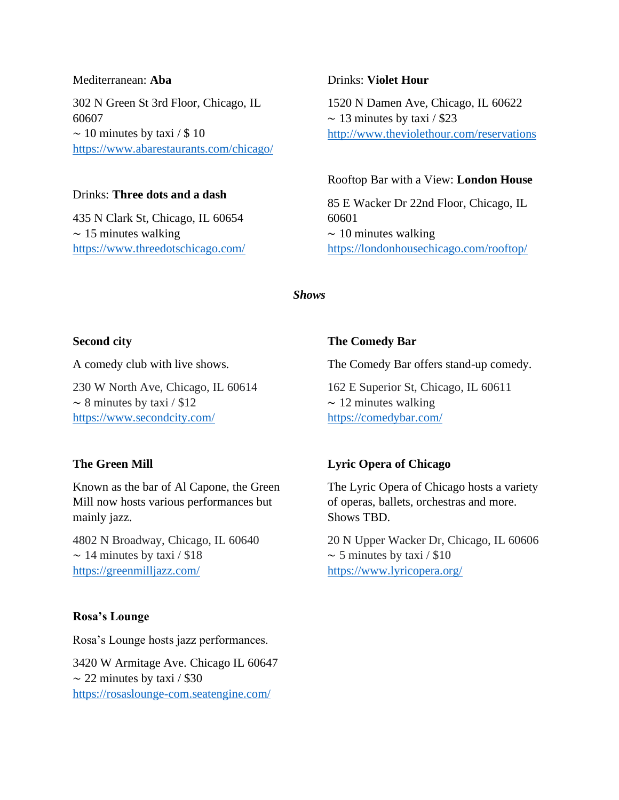#### Mediterranean: **Aba**

302 N Green St 3rd Floor, Chicago, IL 60607  $\sim$  10 minutes by taxi / \$ 10 <https://www.abarestaurants.com/chicago/>

## Drinks: **Three dots and a dash**

435 N Clark St, Chicago, IL 60654  $~\sim 15$  minutes walking <https://www.threedotschicago.com/>

#### Drinks: **Violet Hour**

1520 N Damen Ave, Chicago, IL 60622  $\sim$  13 minutes by taxi / \$23 <http://www.theviolethour.com/reservations>

#### Rooftop Bar with a View: **London House**

85 E Wacker Dr 22nd Floor, Chicago, IL 60601 ∼ 10 minutes walking <https://londonhousechicago.com/rooftop/>

### *Shows*

#### **Second city**

A comedy club with live shows.

230 W North Ave, Chicago, IL 60614  $\sim$  8 minutes by taxi / \$12 <https://www.secondcity.com/>

#### **The Green Mill**

Known as the bar of Al Capone, the Green Mill now hosts various performances but mainly jazz.

4802 N Broadway, Chicago, IL 60640  $\sim$  14 minutes by taxi / \$18 <https://greenmilljazz.com/>

#### **Rosa's Lounge**

Rosa's Lounge hosts jazz performances.

3420 W Armitage Ave. Chicago IL 60647  $\sim$  22 minutes by taxi / \$30 <https://rosaslounge-com.seatengine.com/>

### **The Comedy Bar**

The Comedy Bar offers stand-up comedy.

162 E Superior St, Chicago, IL 60611  $\sim$  12 minutes walking <https://comedybar.com/>

#### **Lyric Opera of Chicago**

The Lyric Opera of Chicago hosts a variety of operas, ballets, orchestras and more. Shows TBD.

20 N Upper Wacker Dr, Chicago, IL 60606  $\sim$  5 minutes by taxi / \$10 <https://www.lyricopera.org/>